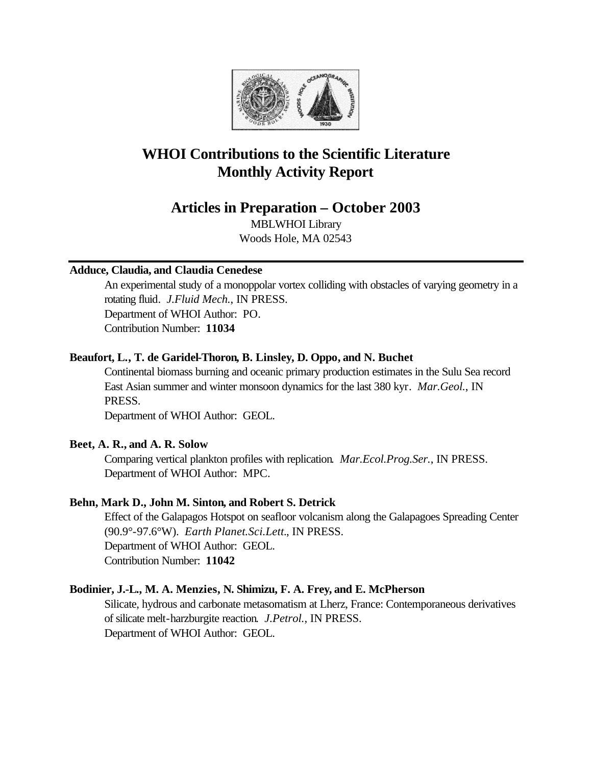

# **WHOI Contributions to the Scientific Literature Monthly Activity Report**

# **Articles in Preparation – October 2003**

MBLWHOI Library Woods Hole, MA 02543

# **Adduce, Claudia, and Claudia Cenedese**

An experimental study of a monoppolar vortex colliding with obstacles of varying geometry in a rotating fluid. *J.Fluid Mech.*, IN PRESS. Department of WHOI Author: PO. Contribution Number: **11034**

# **Beaufort, L., T. de Garidel-Thoron, B. Linsley, D. Oppo, and N. Buchet**

Continental biomass burning and oceanic primary production estimates in the Sulu Sea record East Asian summer and winter monsoon dynamics for the last 380 kyr. *Mar.Geol.*, IN PRESS.

Department of WHOI Author: GEOL.

# **Beet, A. R., and A. R. Solow**

Comparing vertical plankton profiles with replication. *Mar.Ecol.Prog.Ser.*, IN PRESS. Department of WHOI Author: MPC.

# **Behn, Mark D., John M. Sinton, and Robert S. Detrick**

Effect of the Galapagos Hotspot on seafloor volcanism along the Galapagoes Spreading Center (90.9°-97.6°W). *Earth Planet.Sci.Lett.*, IN PRESS. Department of WHOI Author: GEOL. Contribution Number: **11042**

### **Bodinier, J.-L., M. A. Menzies, N. Shimizu, F. A. Frey, and E. McPherson**

Silicate, hydrous and carbonate metasomatism at Lherz, France: Contemporaneous derivatives of silicate melt-harzburgite reaction. *J.Petrol.*, IN PRESS. Department of WHOI Author: GEOL.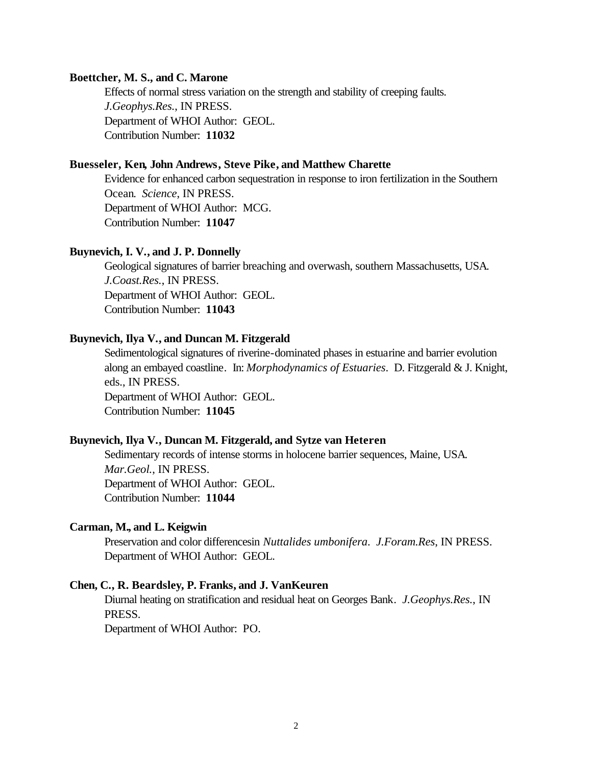#### **Boettcher, M. S., and C. Marone**

Effects of normal stress variation on the strength and stability of creeping faults. *J.Geophys.Res.*, IN PRESS. Department of WHOI Author: GEOL. Contribution Number: **11032**

### **Buesseler, Ken, John Andrews, Steve Pike, and Matthew Charette**

Evidence for enhanced carbon sequestration in response to iron fertilization in the Southern Ocean. *Science*, IN PRESS. Department of WHOI Author: MCG. Contribution Number: **11047**

#### **Buynevich, I. V., and J. P. Donnelly**

Geological signatures of barrier breaching and overwash, southern Massachusetts, USA. *J.Coast.Res.*, IN PRESS. Department of WHOI Author: GEOL. Contribution Number: **11043**

#### **Buynevich, Ilya V., and Duncan M. Fitzgerald**

Sedimentological signatures of riverine-dominated phases in estuarine and barrier evolution along an embayed coastline. In: *Morphodynamics of Estuaries*. D. Fitzgerald & J. Knight, eds., IN PRESS. Department of WHOI Author: GEOL. Contribution Number: **11045**

### **Buynevich, Ilya V., Duncan M. Fitzgerald, and Sytze van Heteren**

Sedimentary records of intense storms in holocene barrier sequences, Maine, USA. *Mar.Geol.*, IN PRESS. Department of WHOI Author: GEOL. Contribution Number: **11044**

#### **Carman, M., and L. Keigwin**

Preservation and color differencesin *Nuttalides umbonifera*. *J.Foram.Res*, IN PRESS. Department of WHOI Author: GEOL.

#### **Chen, C., R. Beardsley, P. Franks, and J. VanKeuren**

Diurnal heating on stratification and residual heat on Georges Bank. *J.Geophys.Res.*, IN PRESS.

Department of WHOI Author: PO.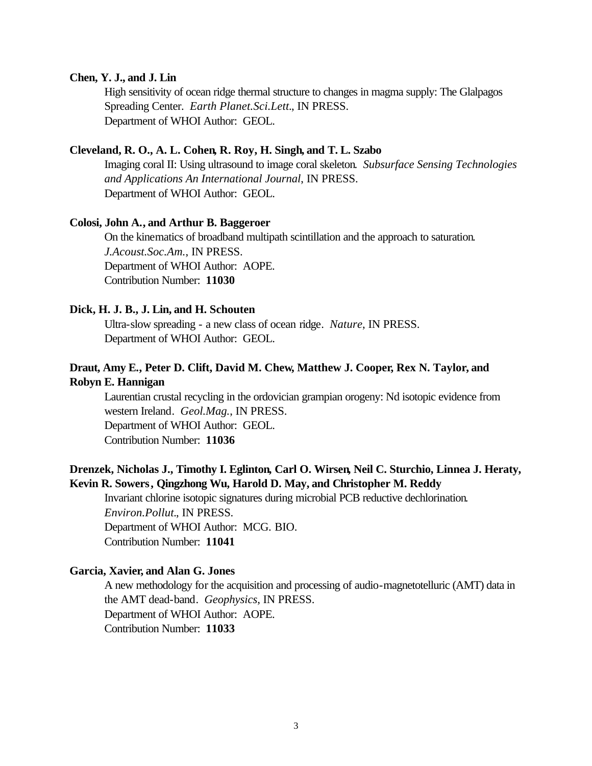#### **Chen, Y. J., and J. Lin**

High sensitivity of ocean ridge thermal structure to changes in magma supply: The Glalpagos Spreading Center. *Earth Planet.Sci.Lett.*, IN PRESS. Department of WHOI Author: GEOL.

### **Cleveland, R. O., A. L. Cohen, R. Roy, H. Singh, and T. L. Szabo**

Imaging coral II: Using ultrasound to image coral skeleton. *Subsurface Sensing Technologies and Applications An International Journal*, IN PRESS. Department of WHOI Author: GEOL.

### **Colosi, John A., and Arthur B. Baggeroer**

On the kinematics of broadband multipath scintillation and the approach to saturation. *J.Acoust.Soc.Am.*, IN PRESS. Department of WHOI Author: AOPE. Contribution Number: **11030**

#### **Dick, H. J. B., J. Lin, and H. Schouten**

Ultra-slow spreading - a new class of ocean ridge. *Nature*, IN PRESS. Department of WHOI Author: GEOL.

# **Draut, Amy E., Peter D. Clift, David M. Chew, Matthew J. Cooper, Rex N. Taylor, and Robyn E. Hannigan**

Laurentian crustal recycling in the ordovician grampian orogeny: Nd isotopic evidence from western Ireland. *Geol.Mag.*, IN PRESS. Department of WHOI Author: GEOL. Contribution Number: **11036**

# **Drenzek, Nicholas J., Timothy I. Eglinton, Carl O. Wirsen, Neil C. Sturchio, Linnea J. Heraty, Kevin R. Sowers, Qingzhong Wu, Harold D. May, and Christopher M. Reddy**

Invariant chlorine isotopic signatures during microbial PCB reductive dechlorination. *Environ.Pollut.*, IN PRESS. Department of WHOI Author: MCG. BIO. Contribution Number: **11041**

#### **Garcia, Xavier, and Alan G. Jones**

A new methodology for the acquisition and processing of audio-magnetotelluric (AMT) data in the AMT dead-band. *Geophysics*, IN PRESS. Department of WHOI Author: AOPE. Contribution Number: **11033**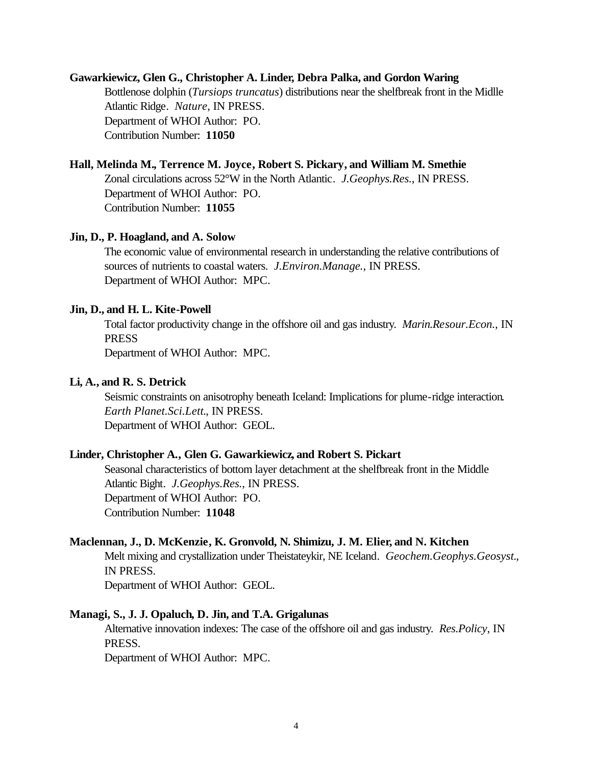#### **Gawarkiewicz, Glen G., Christopher A. Linder, Debra Palka, and Gordon Waring**

Bottlenose dolphin (*Tursiops truncatus*) distributions near the shelfbreak front in the Midlle Atlantic Ridge. *Nature*, IN PRESS. Department of WHOI Author: PO. Contribution Number: **11050**

#### **Hall, Melinda M., Terrence M. Joyce, Robert S. Pickary, and William M. Smethie**

Zonal circulations across 52°W in the North Atlantic. *J.Geophys.Res.*, IN PRESS. Department of WHOI Author: PO. Contribution Number: **11055**

#### **Jin, D., P. Hoagland, and A. Solow**

The economic value of environmental research in understanding the relative contributions of sources of nutrients to coastal waters. *J.Environ.Manage.*, IN PRESS. Department of WHOI Author: MPC.

#### **Jin, D., and H. L. Kite-Powell**

Total factor productivity change in the offshore oil and gas industry. *Marin.Resour.Econ.*, IN PRESS

Department of WHOI Author: MPC.

### **Li, A., and R. S. Detrick**

Seismic constraints on anisotrophy beneath Iceland: Implications for plume-ridge interaction. *Earth Planet.Sci.Lett.*, IN PRESS. Department of WHOI Author: GEOL.

#### **Linder, Christopher A., Glen G. Gawarkiewicz, and Robert S. Pickart**

Seasonal characteristics of bottom layer detachment at the shelfbreak front in the Middle Atlantic Bight. *J.Geophys.Res.*, IN PRESS. Department of WHOI Author: PO. Contribution Number: **11048**

#### **Maclennan, J., D. McKenzie, K. Gronvold, N. Shimizu, J. M. Elier, and N. Kitchen**

Melt mixing and crystallization under Theistateykir, NE Iceland. *Geochem.Geophys.Geosyst.*, IN PRESS.

Department of WHOI Author: GEOL.

### **Managi, S., J. J. Opaluch, D. Jin, and T.A. Grigalunas**

Alternative innovation indexes: The case of the offshore oil and gas industry. *Res.Policy*, IN PRESS.

Department of WHOI Author: MPC.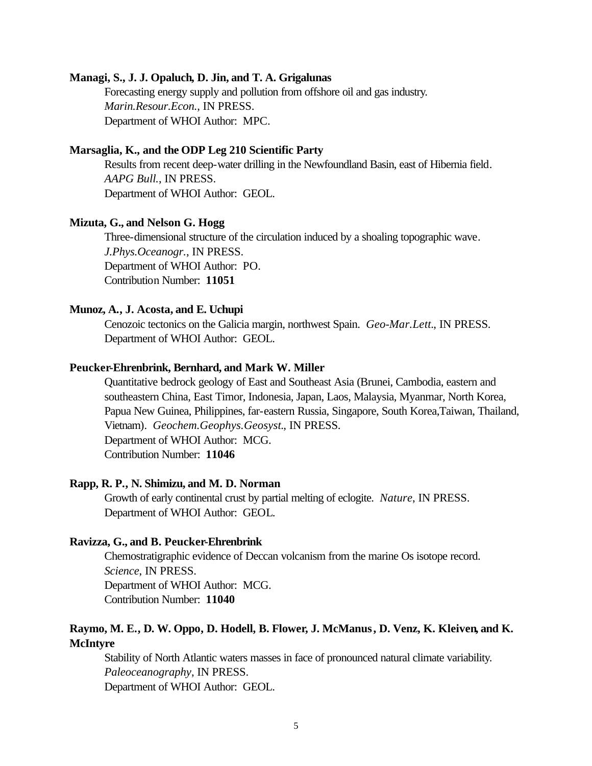#### **Managi, S., J. J. Opaluch, D. Jin, and T. A. Grigalunas**

Forecasting energy supply and pollution from offshore oil and gas industry. *Marin.Resour.Econ.*, IN PRESS. Department of WHOI Author: MPC.

### **Marsaglia, K., and the ODP Leg 210 Scientific Party**

Results from recent deep-water drilling in the Newfoundland Basin, east of Hibernia field. *AAPG Bull.*, IN PRESS. Department of WHOI Author: GEOL.

### **Mizuta, G., and Nelson G. Hogg**

Three-dimensional structure of the circulation induced by a shoaling topographic wave. *J.Phys.Oceanogr.*, IN PRESS. Department of WHOI Author: PO. Contribution Number: **11051**

#### **Munoz, A., J. Acosta, and E. Uchupi**

Cenozoic tectonics on the Galicia margin, northwest Spain. *Geo-Mar.Lett.*, IN PRESS. Department of WHOI Author: GEOL.

#### **Peucker-Ehrenbrink, Bernhard, and Mark W. Miller**

Quantitative bedrock geology of East and Southeast Asia (Brunei, Cambodia, eastern and southeastern China, East Timor, Indonesia, Japan, Laos, Malaysia, Myanmar, North Korea, Papua New Guinea, Philippines, far-eastern Russia, Singapore, South Korea,Taiwan, Thailand, Vietnam). *Geochem.Geophys.Geosyst.*, IN PRESS. Department of WHOI Author: MCG. Contribution Number: **11046**

#### **Rapp, R. P., N. Shimizu, and M. D. Norman**

Growth of early continental crust by partial melting of eclogite. *Nature*, IN PRESS. Department of WHOI Author: GEOL.

#### **Ravizza, G., and B. Peucker-Ehrenbrink**

Chemostratigraphic evidence of Deccan volcanism from the marine Os isotope record. *Science*, IN PRESS. Department of WHOI Author: MCG. Contribution Number: **11040**

# **Raymo, M. E., D. W. Oppo, D. Hodell, B. Flower, J. McManus, D. Venz, K. Kleiven, and K. McIntyre**

Stability of North Atlantic waters masses in face of pronounced natural climate variability. *Paleoceanography*, IN PRESS. Department of WHOI Author: GEOL.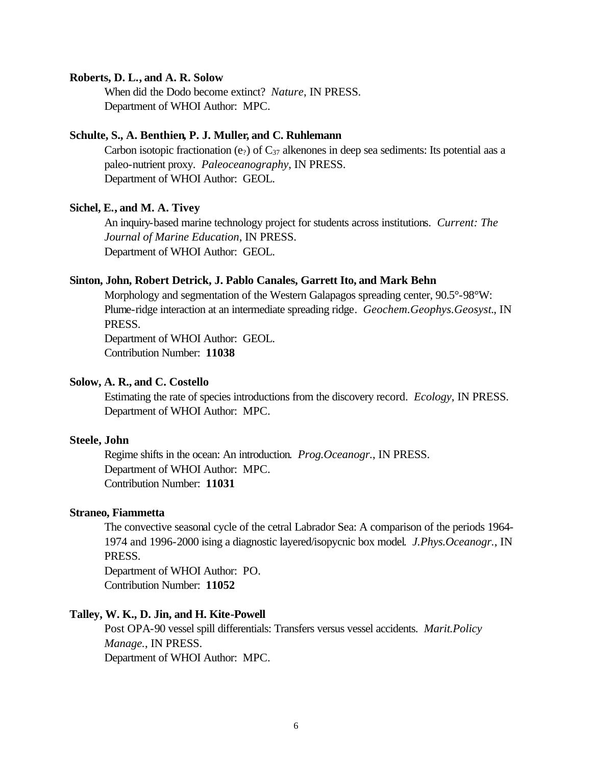#### **Roberts, D. L., and A. R. Solow**

When did the Dodo become extinct? *Nature*, IN PRESS. Department of WHOI Author: MPC.

#### **Schulte, S., A. Benthien, P. J. Muller, and C. Ruhlemann**

Carbon isotopic fractionation (e<sub>2</sub>) of  $C_{37}$  alkenones in deep sea sediments: Its potential aas a paleo-nutrient proxy. *Paleoceanography*, IN PRESS. Department of WHOI Author: GEOL.

### **Sichel, E., and M. A. Tivey**

An inquiry-based marine technology project for students across institutions. *Current: The Journal of Marine Education*, IN PRESS. Department of WHOI Author: GEOL.

#### **Sinton, John, Robert Detrick, J. Pablo Canales, Garrett Ito, and Mark Behn**

Morphology and segmentation of the Western Galapagos spreading center,  $90.5^{\circ}$ - $98^{\circ}$ W: Plume-ridge interaction at an intermediate spreading ridge. *Geochem.Geophys.Geosyst.*, IN PRESS.

Department of WHOI Author: GEOL. Contribution Number: **11038**

### **Solow, A. R., and C. Costello**

Estimating the rate of species introductions from the discovery record. *Ecology*, IN PRESS. Department of WHOI Author: MPC.

### **Steele, John**

Regime shifts in the ocean: An introduction. *Prog.Oceanogr.*, IN PRESS. Department of WHOI Author: MPC. Contribution Number: **11031**

### **Straneo, Fiammetta**

The convective seasonal cycle of the cetral Labrador Sea: A comparison of the periods 1964- 1974 and 1996-2000 ising a diagnostic layered/isopycnic box model. *J.Phys.Oceanogr.*, IN PRESS.

Department of WHOI Author: PO. Contribution Number: **11052**

#### **Talley, W. K., D. Jin, and H. Kite-Powell**

Post OPA-90 vessel spill differentials: Transfers versus vessel accidents. *Marit.Policy Manage.*, IN PRESS. Department of WHOI Author: MPC.